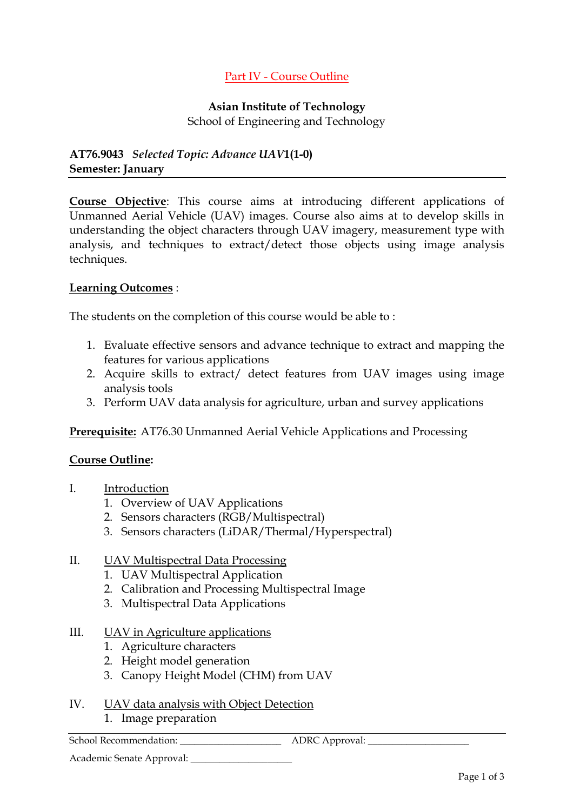## Part IV - Course Outline

# **Asian Institute of Technology**

School of Engineering and Technology

## **AT76.9043** *[Selected Topic: Advance UAV](http://www.asdu.ait.ac.th/Students/CourseDetailInfo.cfm?CCode=AT76.9043)***1(1-0) Semester: January**

**Course Objective**: This course aims at introducing different applications of Unmanned Aerial Vehicle (UAV) images. Course also aims at to develop skills in understanding the object characters through UAV imagery, measurement type with analysis, and techniques to extract/detect those objects using image analysis techniques.

## **Learning Outcomes** :

The students on the completion of this course would be able to :

- 1. Evaluate effective sensors and advance technique to extract and mapping the features for various applications
- 2. Acquire skills to extract/ detect features from UAV images using image analysis tools
- 3. Perform UAV data analysis for agriculture, urban and survey applications

**Prerequisite:** AT76.30 Unmanned Aerial Vehicle Applications and Processing

## **Course Outline:**

- I. Introduction
	- 1. Overview of UAV Applications
	- 2. Sensors characters (RGB/Multispectral)
	- 3. Sensors characters (LiDAR/Thermal/Hyperspectral)

## II. UAV Multispectral Data Processing

- 1. UAV Multispectral Application
- 2. Calibration and Processing Multispectral Image
- 3. Multispectral Data Applications

## III. UAV in Agriculture applications

- 1. Agriculture characters
- 2. Height model generation
- 3. Canopy Height Model (CHM) from UAV
- IV. UAV data analysis with Object Detection
	- 1. Image preparation

School Recommendation: \_\_\_\_\_\_\_\_\_\_\_\_\_\_\_\_\_\_\_\_\_ ADRC Approval: \_\_\_\_\_\_\_\_\_\_\_\_\_\_\_\_\_\_\_\_\_

Academic Senate Approval: \_\_\_\_\_\_\_\_\_\_\_\_\_\_\_\_\_\_\_\_\_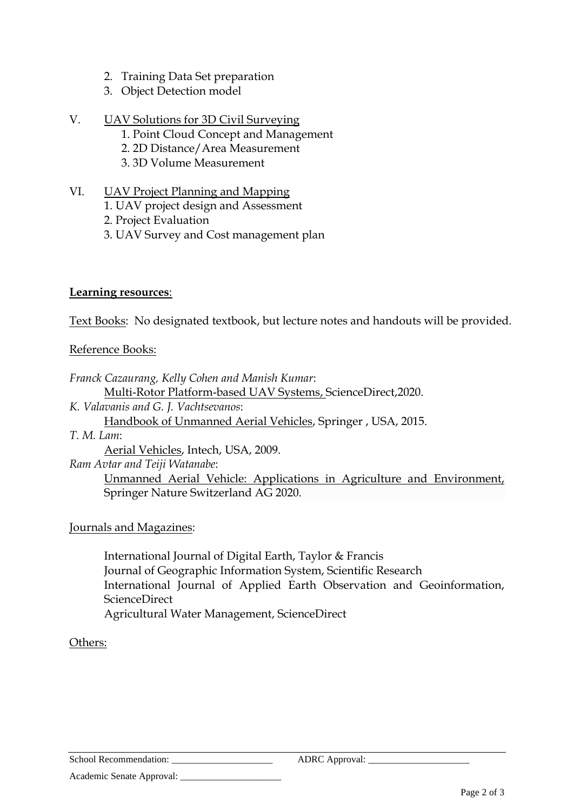- 2. Training Data Set preparation
- 3. Object Detection model
- V. UAV Solutions for 3D Civil Surveying
	- 1. Point Cloud Concept and Management
	- 2. 2D Distance/Area Measurement
	- 3. 3D Volume Measurement
- VI. UAV Project Planning and Mapping
	- 1. UAV project design and Assessment
	- 2. Project Evaluation
	- 3. UAV Survey and Cost management plan

## **Learning resources**:

Text Books: No designated textbook, but lecture notes and handouts will be provided.

## Reference Books:

*Franck Cazaurang, Kelly Cohen and Manish Kumar*: Multi-Rotor Platform-based UAV Systems, [ScienceDirect,](https://www.elsevier.com/solutions/sciencedirect)2020.

*K. Valavanis and G. J. Vachtsevanos*:

Handbook of Unmanned Aerial Vehicles, Springer , USA, 2015.

*T. M. Lam*:

Aerial Vehicles, Intech, USA, 2009.

*Ram Avtar and Teiji Watanabe*:

Unmanned Aerial Vehicle: Applications in Agriculture and Environment, Springer Nature Switzerland AG 2020.

## Journals and Magazines:

International Journal of Digital Earth, Taylor & Francis Journal of Geographic Information System, Scientific Research [International Journal of Applied Earth](https://www.sciencedirect.com/journal/international-journal-of-applied-earth-observation-and-geoinformation) Observation and Geoinformation, ScienceDirect [Agricultural Water Management,](https://www.sciencedirect.com/science/journal/03783774) ScienceDirect

## Others:

School Recommendation: \_\_\_\_\_\_\_\_\_\_\_\_\_\_\_\_\_\_\_\_\_ ADRC Approval: \_\_\_\_\_\_\_\_\_\_\_\_\_\_\_\_\_\_\_\_\_

Academic Senate Approval: \_\_\_\_\_\_\_\_\_\_\_\_\_\_\_\_\_\_\_\_\_